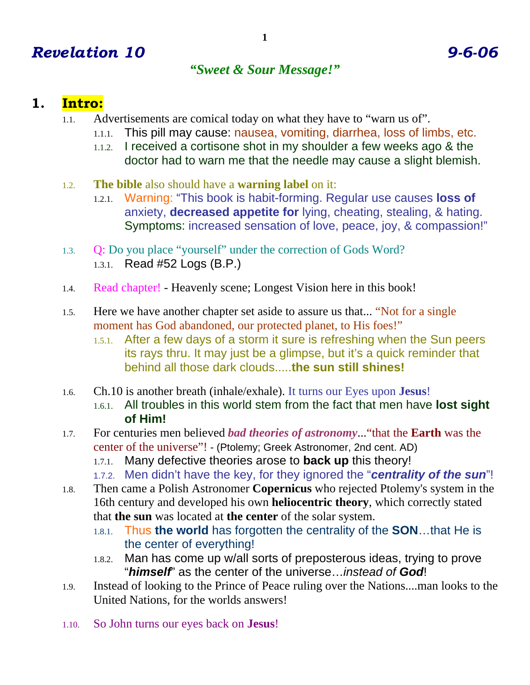# *Revelation 10 9-6-06*

### *"Sweet & Sour Message!"*

## **1. Intro:**

- 1.1. Advertisements are comical today on what they have to "warn us of".
	- 1.1.1. This pill may cause: nausea, vomiting, diarrhea, loss of limbs, etc.
	- 1.1.2. I received a cortisone shot in my shoulder a few weeks ago & the doctor had to warn me that the needle may cause a slight blemish.
- 1.2. **The bible** also should have a **warning label** on it:
	- 1.2.1. Warning: "This book is habit-forming. Regular use causes **loss of** anxiety, **decreased appetite for** lying, cheating, stealing, & hating. Symptoms: increased sensation of love, peace, joy, & compassion!"
- 1.3. Q: Do you place "yourself" under the correction of Gods Word? 1.3.1. Read #52 Logs (B.P.)
- 1.4. Read chapter! Heavenly scene; Longest Vision here in this book!
- 1.5. Here we have another chapter set aside to assure us that... "Not for a single moment has God abandoned, our protected planet, to His foes!"
	- 1.5.1. After a few days of a storm it sure is refreshing when the Sun peers its rays thru. It may just be a glimpse, but it's a quick reminder that behind all those dark clouds.....**the sun still shines!**
- 1.6. Ch.10 is another breath (inhale/exhale). It turns our Eyes upon **Jesus**!
	- 1.6.1. All troubles in this world stem from the fact that men have **lost sight of Him!**
- 1.7. For centuries men believed *bad theories of astronomy*..."that the **Earth** was the center of the universe"! - (Ptolemy; Greek Astronomer, 2nd cent. AD)
	- 1.7.1. Many defective theories arose to **back up** this theory!
	- 1.7.2. Men didn't have the key, for they ignored the "*centrality of the sun*"!
- 1.8. Then came a Polish Astronomer **Copernicus** who rejected Ptolemy's system in the 16th century and developed his own **heliocentric theory**, which correctly stated that **the sun** was located at **the center** of the solar system.
	- 1.8.1. Thus **the world** has forgotten the centrality of the **SON**…that He is the center of everything!
	- 1.8.2. Man has come up w/all sorts of preposterous ideas, trying to prove "*himself*" as the center of the universe…*instead of God*!
- 1.9. Instead of looking to the Prince of Peace ruling over the Nations....man looks to the United Nations, for the worlds answers!
- 1.10. So John turns our eyes back on **Jesus**!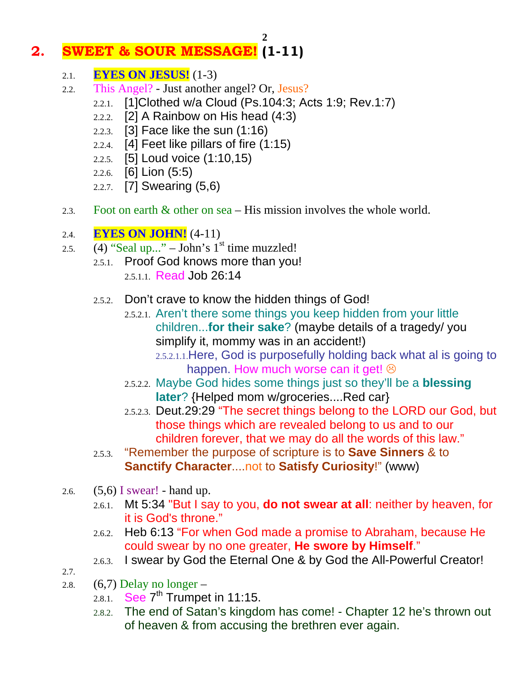# **2. SWEET & SOUR MESSAGE! (1-11)**

- 2.1. **EYES ON JESUS!** (1-3)
- 2.2. This Angel? Just another angel? Or, Jesus?
	- 2.2.1. [1]Clothed w/a Cloud (Ps.104:3; Acts 1:9; Rev.1:7)

**2** 

- 2.2.2. [2] A Rainbow on His head (4:3)
- 2.2.3. [3] Face like the sun (1:16)
- 2.2.4. [4] Feet like pillars of fire (1:15)
- 2.2.5. [5] Loud voice (1:10,15)
- 2.2.6. [6] Lion (5:5)
- 2.2.7. [7] Swearing (5,6)
- 2.3. Foot on earth & other on sea His mission involves the whole world.
- 2.4. **EYES ON JOHN!** (4-11)
- 2.5.  $(4)$  "Seal up..." John's  $1<sup>st</sup>$  time muzzled!
	- 2.5.1. Proof God knows more than you! 2.5.1.1. Read Job 26:14
	- 2.5.2. Don't crave to know the hidden things of God!
		- 2.5.2.1. Aren't there some things you keep hidden from your little children...**for their sake**? (maybe details of a tragedy/ you simplify it, mommy was in an accident!) 2.5.2.1.1.Here, God is purposefully holding back what al is going to happen. How much worse can it get!  $\odot$
		- 2.5.2.2. Maybe God hides some things just so they'll be a **blessing later**? {Helped mom w/groceries....Red car}
		- 2.5.2.3. Deut.29:29 "The secret things belong to the LORD our God, but those things which are revealed belong to us and to our children forever, that we may do all the words of this law."
	- 2.5.3. "Remember the purpose of scripture is to **Save Sinners** & to **Sanctify Character**....not to **Satisfy Curiosity**!" (www)
- 2.6.  $(5,6)$  I swear! hand up.
	- 2.6.1. Mt 5:34 "But I say to you, **do not swear at all**: neither by heaven, for it is God's throne."
	- 2.6.2. Heb 6:13 "For when God made a promise to Abraham, because He could swear by no one greater, **He swore by Himself**."
	- 2.6.3. I swear by God the Eternal One & by God the All-Powerful Creator!
- 2.7.
- 2.8.  $(6,7)$  Delay no longer
	- 2.8.1. See  $7<sup>th</sup>$  Trumpet in 11:15.
	- 2.8.2. The end of Satan's kingdom has come! Chapter 12 he's thrown out of heaven & from accusing the brethren ever again.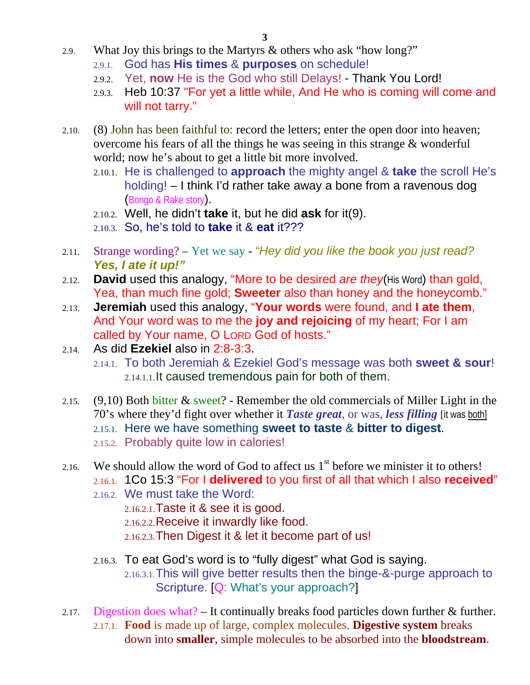- 2.9. What Joy this brings to the Martyrs & others who ask "how long?"
	- 2.9.1. God has **His times** & **purposes** on schedule!
	- 2.9.2. Yet, **now** He is the God who still Delays! Thank You Lord!
	- 2.9.3. Heb 10:37 "For yet a little while, And He who is coming will come and will not tarry."
- 2.10. (8) John has been faithful to: record the letters; enter the open door into heaven; overcome his fears of all the things he was seeing in this strange & wonderful world; now he's about to get a little bit more involved.
	- 2.10.1. He is challenged to **approach** the mighty angel & **take** the scroll He's holding! – I think I'd rather take away a bone from a ravenous dog (Bongo & Rake story).
	- 2.10.2. Well, he didn't **take** it, but he did **ask** for it(9).
	- 2.10.3. So, he's told to **take** it & **eat** it???
- 2.11. Strange wording? Yet we say *"Hey did you like the book you just read? Yes, I ate it up!"*
- 2.12. **David** used this analogy, "More to be desired *are they*(His Word) than gold, Yea, than much fine gold; **Sweeter** also than honey and the honeycomb."
- 2.13. **Jeremiah** used this analogy, "**Your words** were found, and **I ate them**, And Your word was to me the **joy and rejoicing** of my heart; For I am called by Your name, O LORD God of hosts."
- 2.14. As did **Ezekiel** also in 2:8-3:3. 2.14.1. To both Jeremiah & Ezekiel God's message was both **sweet & sour**! 2.14.1.1.It caused tremendous pain for both of them.
- 2.15. (9,10) Both bitter & sweet? Remember the old commercials of Miller Light in the 70's where they'd fight over whether it *Taste great*, or was, *less filling* [it was both] 2.15.1. Here we have something **sweet to taste** & **bitter to digest**. 2.15.2. Probably quite low in calories!
- 2.16. We should allow the word of God to affect us  $1<sup>st</sup>$  before we minister it to others! 2.16.1. 1Co 15:3 "For I **delivered** to you first of all that which I also **received**"
	- 2.16.2. We must take the Word:
		- 2.16.2.1.Taste it & see it is good. 2.16.2.2.Receive it inwardly like food. 2.16.2.3.Then Digest it & let it become part of us!
	- 2.16.3. To eat God's word is to "fully digest" what God is saying. 2.16.3.1.This will give better results then the binge-&-purge approach to Scripture. [Q: What's your approach?]
- 2.17. Digestion does what? It continually breaks food particles down further & further. 2.17.1. **Food** is made up of large, complex molecules. **Digestive system** breaks down into **smaller**, simple molecules to be absorbed into the **bloodstream**.